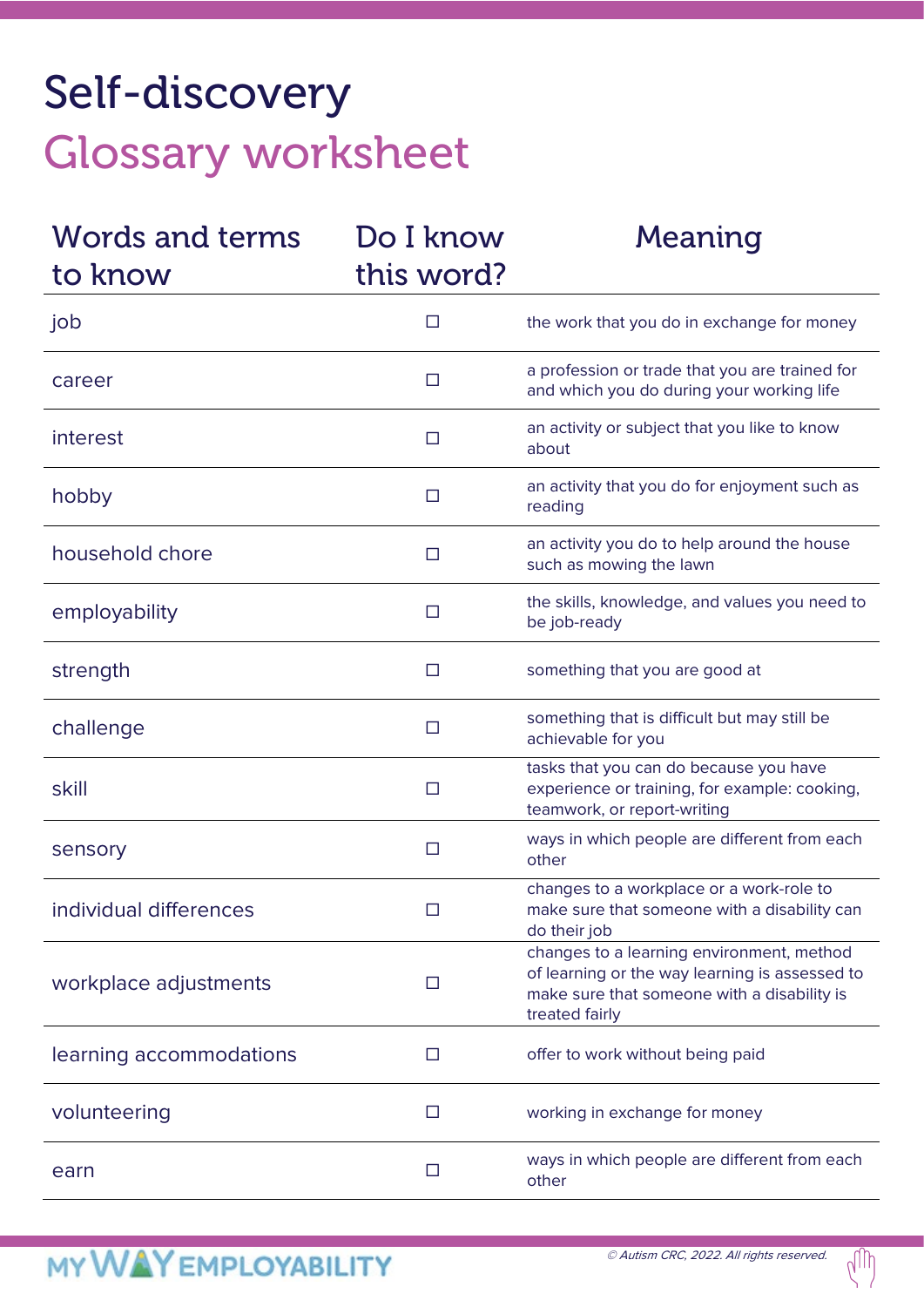# Self-discovery Glossary worksheet

| Words and terms<br>to know | Do I know<br>this word? | Meaning                                                                                                                                                      |
|----------------------------|-------------------------|--------------------------------------------------------------------------------------------------------------------------------------------------------------|
| job                        | ш                       | the work that you do in exchange for money                                                                                                                   |
| career                     | □                       | a profession or trade that you are trained for<br>and which you do during your working life                                                                  |
| interest                   | □                       | an activity or subject that you like to know<br>about                                                                                                        |
| hobby                      | □                       | an activity that you do for enjoyment such as<br>reading                                                                                                     |
| household chore            | ш                       | an activity you do to help around the house<br>such as mowing the lawn                                                                                       |
| employability              | П                       | the skills, knowledge, and values you need to<br>be job-ready                                                                                                |
| strength                   | □                       | something that you are good at                                                                                                                               |
| challenge                  | $\Box$                  | something that is difficult but may still be<br>achievable for you                                                                                           |
| skill                      | $\Box$                  | tasks that you can do because you have<br>experience or training, for example: cooking,<br>teamwork, or report-writing                                       |
| sensory                    | $\Box$                  | ways in which people are different from each<br>other                                                                                                        |
| individual differences     | □                       | changes to a workplace or a work-role to<br>make sure that someone with a disability can<br>do their job                                                     |
| workplace adjustments      | □                       | changes to a learning environment, method<br>of learning or the way learning is assessed to<br>make sure that someone with a disability is<br>treated fairly |
| learning accommodations    | П                       | offer to work without being paid                                                                                                                             |
| volunteering               | L.                      | working in exchange for money                                                                                                                                |
| earn                       | $\Box$                  | ways in which people are different from each<br>other                                                                                                        |

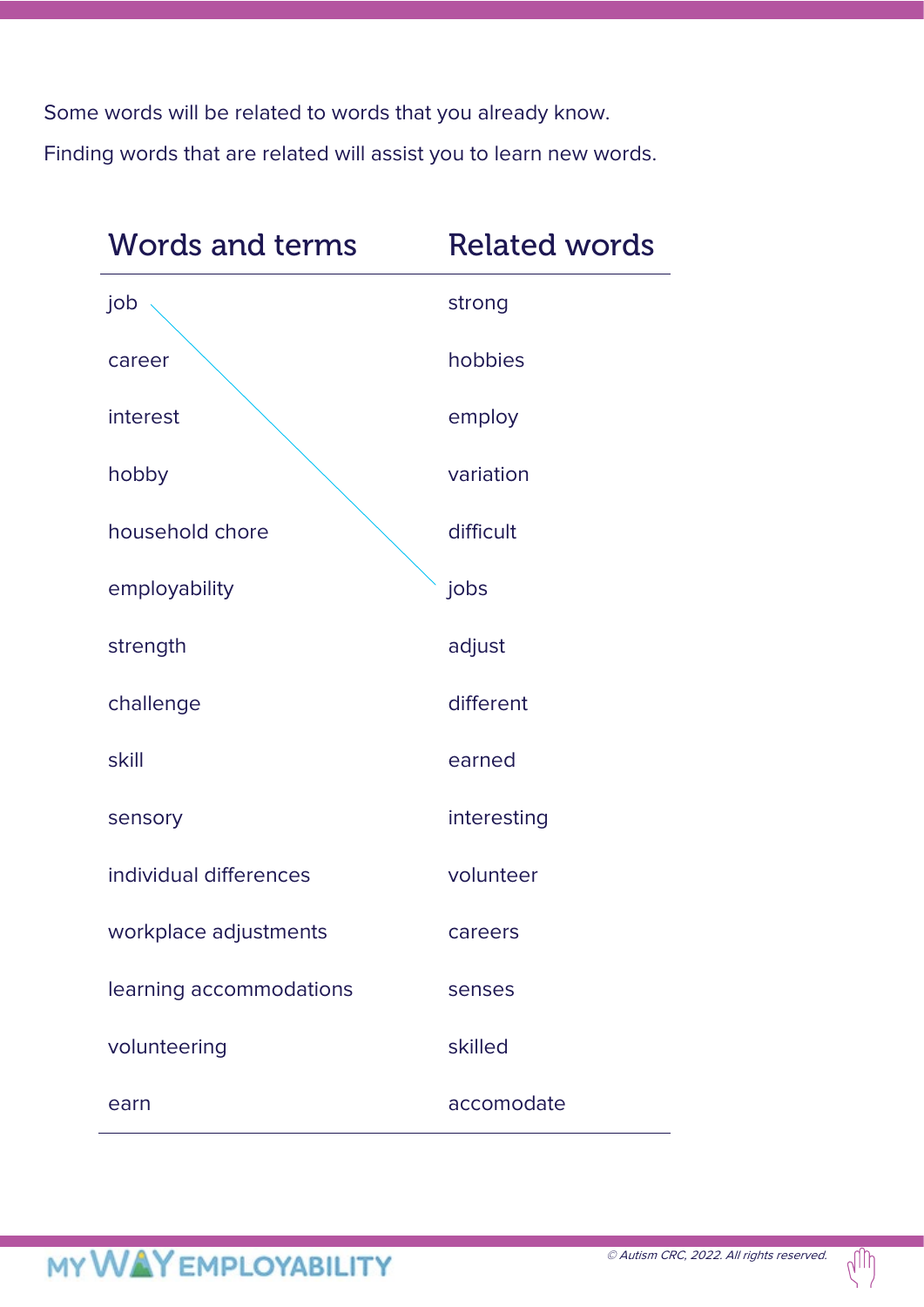Some words will be related to words that you already know. Finding words that are related will assist you to learn new words.

| <b>Words and terms</b>  | <b>Related words</b> |  |
|-------------------------|----------------------|--|
| job                     | strong               |  |
| career                  | hobbies              |  |
| interest                | employ               |  |
| hobby                   | variation            |  |
| household chore         | difficult            |  |
| employability           | jobs                 |  |
| strength                | adjust               |  |
| challenge               | different            |  |
| skill                   | earned               |  |
| sensory                 | interesting          |  |
| individual differences  | volunteer            |  |
| workplace adjustments   | careers              |  |
| learning accommodations | senses               |  |
| volunteering            | skilled              |  |
| earn                    | accomodate           |  |

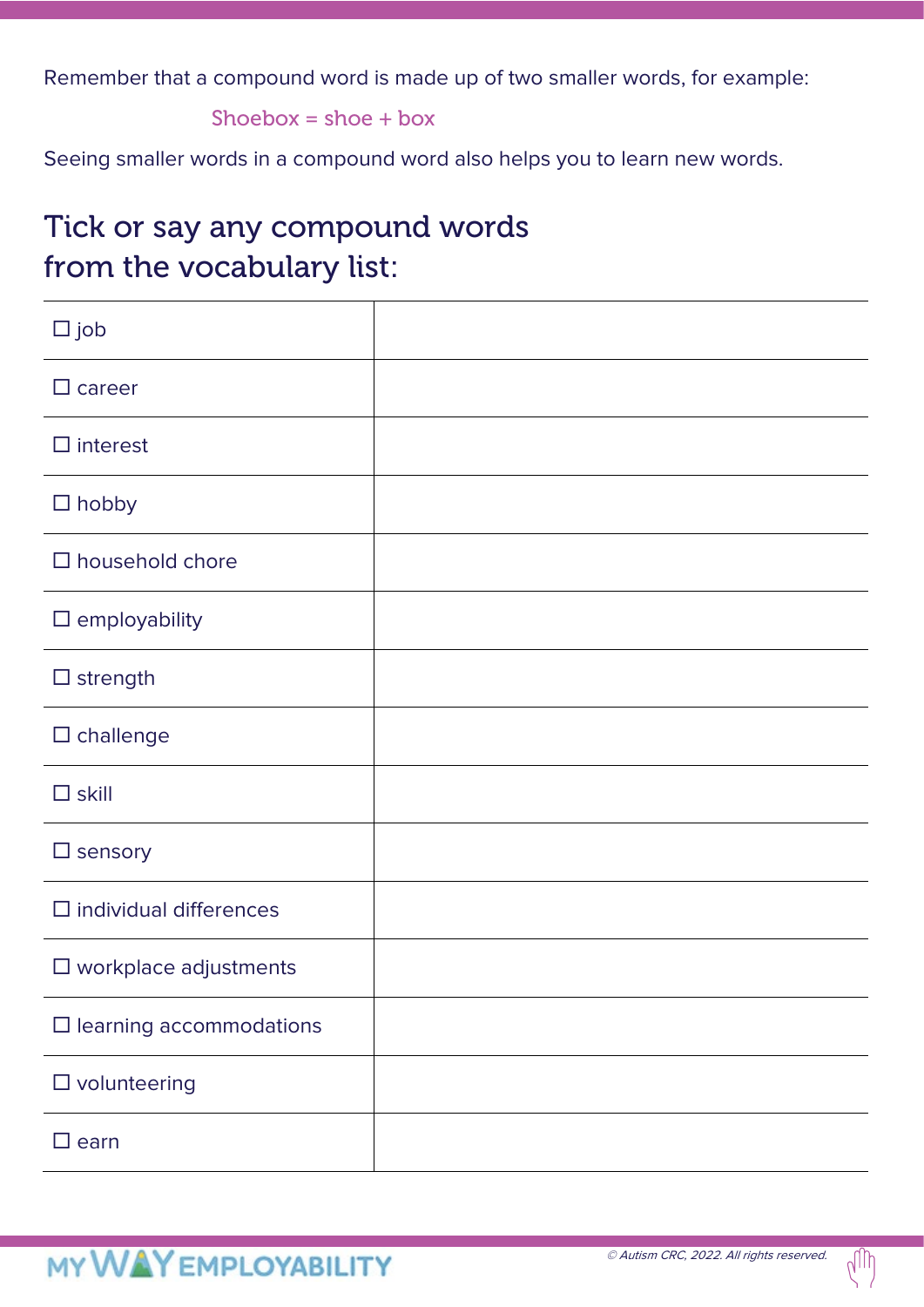Remember that a compound word is made up of two smaller words, for example:

Shoebox =  $shoe + box$ 

Seeing smaller words in a compound word also helps you to learn new words.

## Tick or say any compound words from the vocabulary list:

| $\square$ job                   |  |
|---------------------------------|--|
| $\Box$ career                   |  |
| $\Box$ interest                 |  |
| $\Box$ hobby                    |  |
| $\square$ household chore       |  |
| $\square$ employability         |  |
| $\Box$ strength                 |  |
| $\square$ challenge             |  |
| $\square$ skill                 |  |
| $\square$ sensory               |  |
| $\Box$ individual differences   |  |
| $\square$ workplace adjustments |  |
| $\Box$ learning accommodations  |  |
| $\square$ volunteering          |  |
| $\square$ earn                  |  |

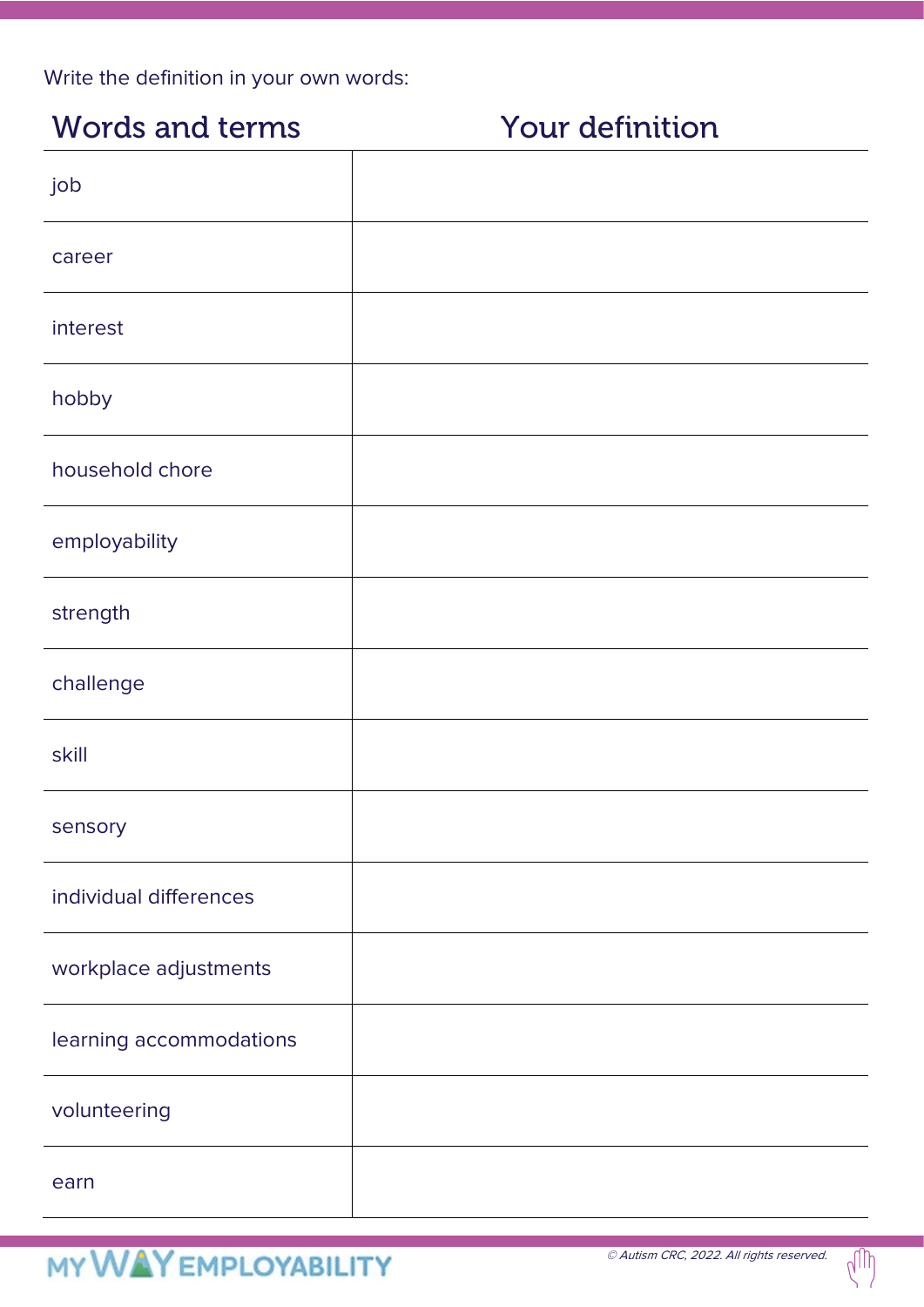Write the definition in your own words:

### Words and terms **Your definition**

# job career interest hobby household chore employability strength challenge skill sensory individual differences workplace adjustments learning accommodations volunteering earn

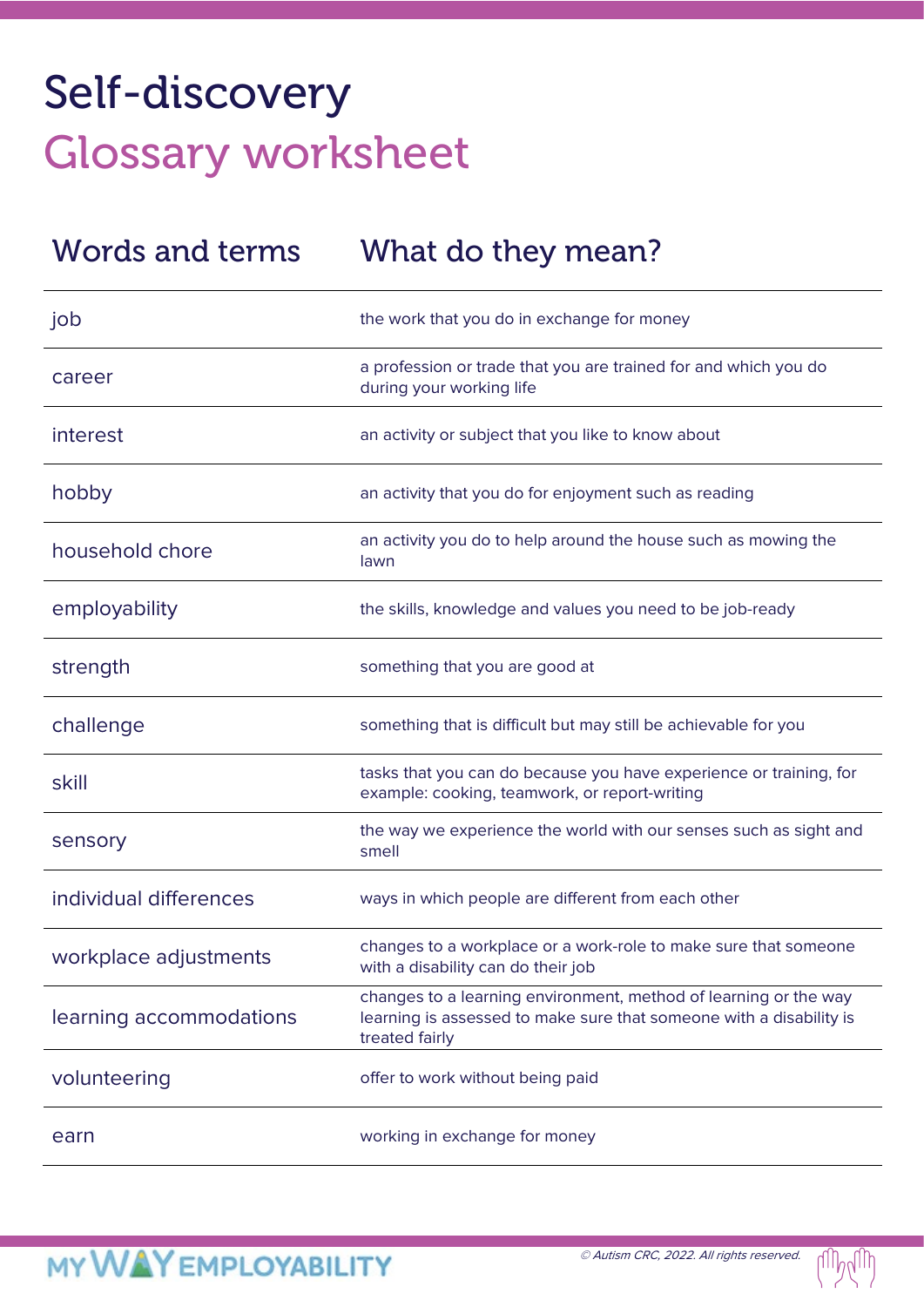# Self-discovery Glossary worksheet

| Words and terms         | What do they mean?                                                                                                                                        |
|-------------------------|-----------------------------------------------------------------------------------------------------------------------------------------------------------|
| job                     | the work that you do in exchange for money                                                                                                                |
| career                  | a profession or trade that you are trained for and which you do<br>during your working life                                                               |
| interest                | an activity or subject that you like to know about                                                                                                        |
| hobby                   | an activity that you do for enjoyment such as reading                                                                                                     |
| household chore         | an activity you do to help around the house such as mowing the<br>lawn                                                                                    |
| employability           | the skills, knowledge and values you need to be job-ready                                                                                                 |
| strength                | something that you are good at                                                                                                                            |
| challenge               | something that is difficult but may still be achievable for you                                                                                           |
| skill                   | tasks that you can do because you have experience or training, for<br>example: cooking, teamwork, or report-writing                                       |
| sensory                 | the way we experience the world with our senses such as sight and<br>smell                                                                                |
| individual differences  | ways in which people are different from each other                                                                                                        |
| workplace adjustments   | changes to a workplace or a work-role to make sure that someone<br>with a disability can do their job                                                     |
| learning accommodations | changes to a learning environment, method of learning or the way<br>learning is assessed to make sure that someone with a disability is<br>treated fairly |
| volunteering            | offer to work without being paid                                                                                                                          |
| earn                    | working in exchange for money                                                                                                                             |

ull<sup>uy</sup>lll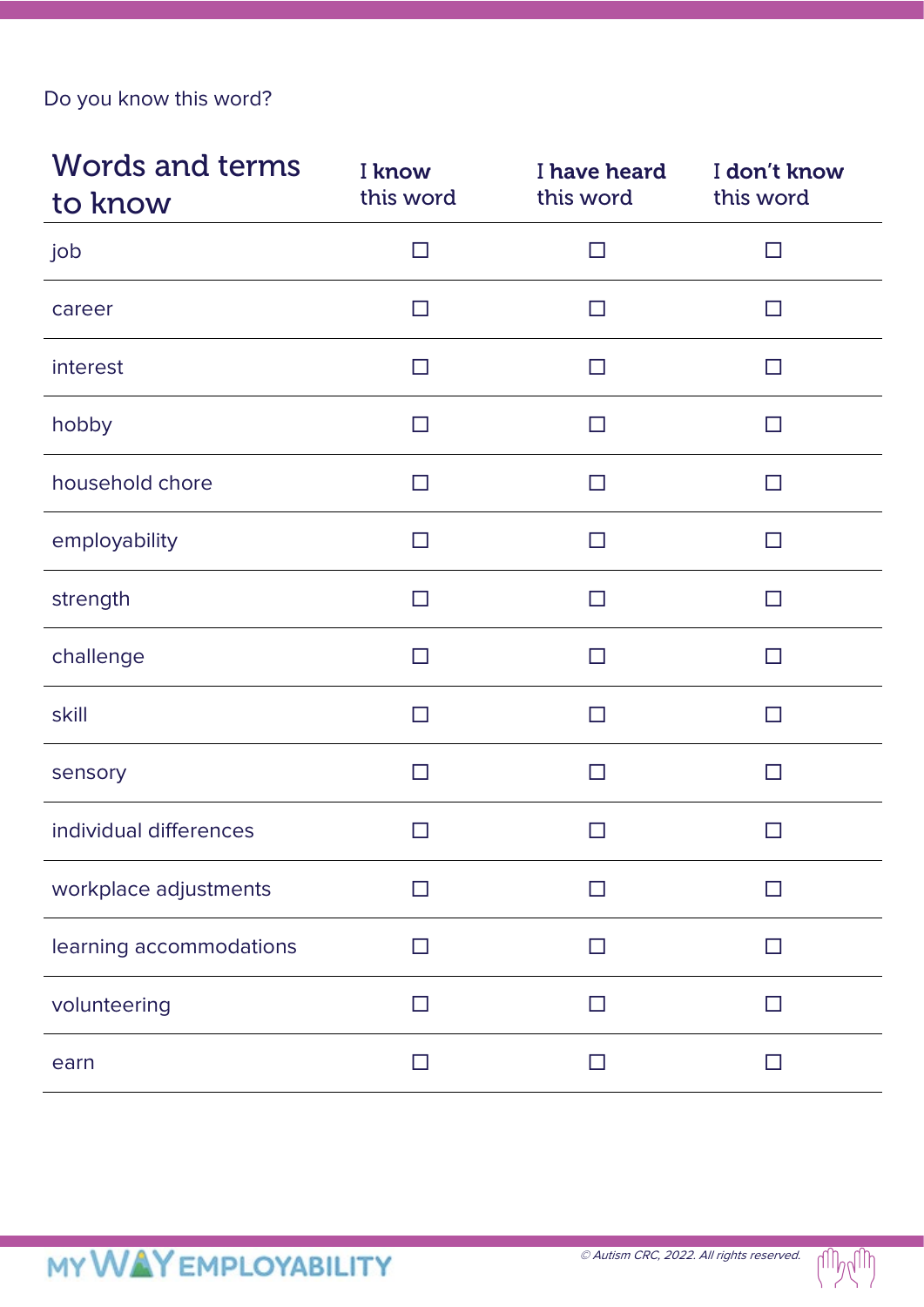Do you know this word?

| <b>Words and terms</b><br>to know | I know<br>this word      | I have heard<br>this word | I don't know<br>this word |
|-----------------------------------|--------------------------|---------------------------|---------------------------|
| job                               | $\Box$                   | □                         | $\Box$                    |
| career                            | П                        | $\Box$                    | $\Box$                    |
| interest                          | П                        | П                         | $\Box$                    |
| hobby                             | $\Box$                   | $\Box$                    | $\Box$                    |
| household chore                   | П                        | П                         | □                         |
| employability                     | $\Box$                   | П                         | $\Box$                    |
| strength                          | П                        | H                         | П                         |
| challenge                         | П                        | H                         | H                         |
| skill                             | $\mathsf{L}$             | H                         | $\Box$                    |
| sensory                           | $\Box$                   | □                         | □                         |
| individual differences            |                          |                           | $\mathsf{L}$              |
| workplace adjustments             |                          |                           |                           |
| learning accommodations           | $\overline{\phantom{a}}$ |                           | $\blacksquare$            |
| volunteering                      |                          | - 1                       |                           |
| earn                              |                          |                           |                           |

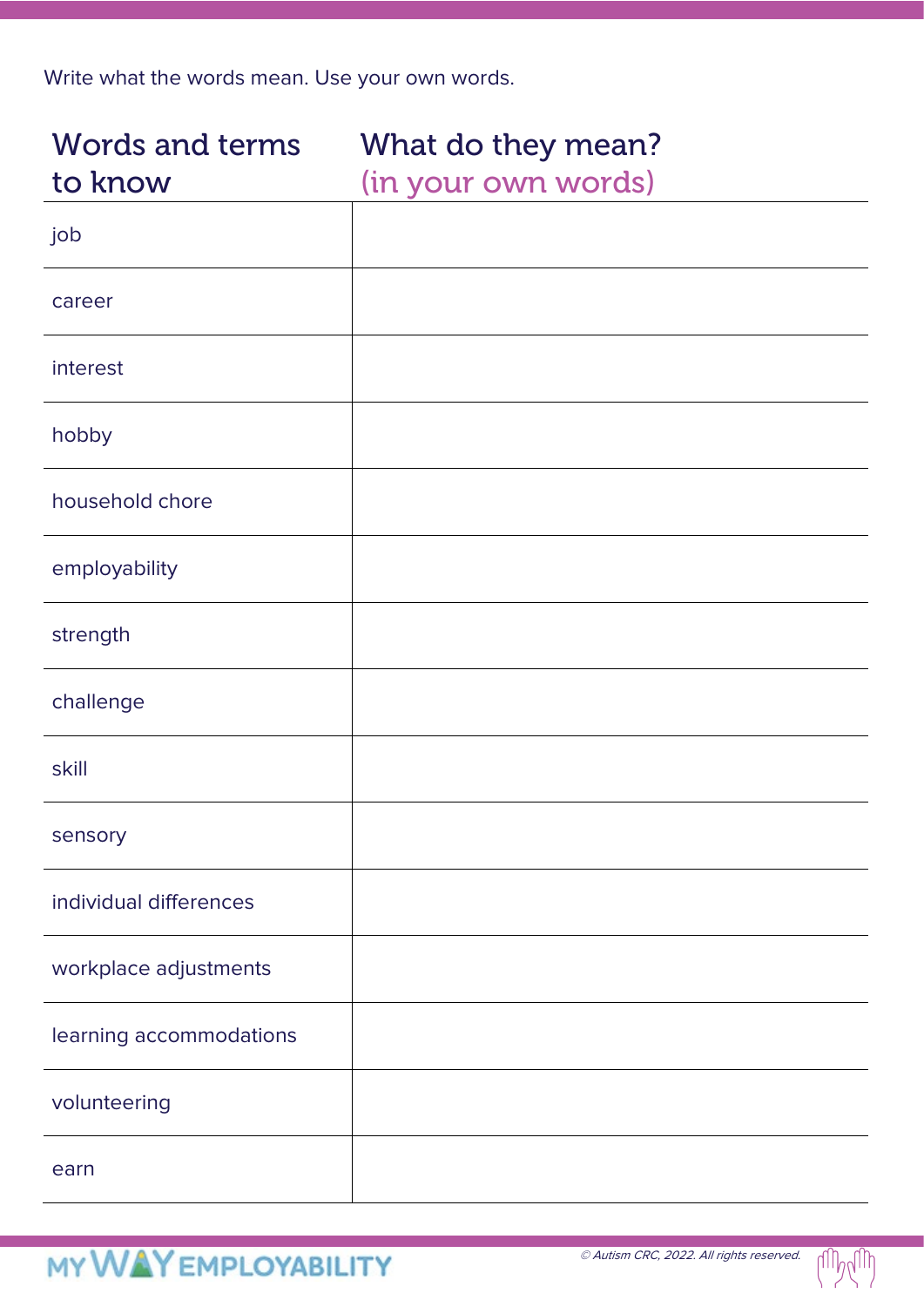Write what the words mean. Use your own words.

| <b>Words and terms</b><br>to know | What do they mean?<br>(in your own words) |
|-----------------------------------|-------------------------------------------|
| job                               |                                           |
| career                            |                                           |
| interest                          |                                           |
| hobby                             |                                           |
| household chore                   |                                           |
| employability                     |                                           |
| strength                          |                                           |
| challenge                         |                                           |
| skill                             |                                           |
| sensory                           |                                           |
| individual differences            |                                           |
| workplace adjustments             |                                           |
| learning accommodations           |                                           |
| volunteering                      |                                           |
| earn                              |                                           |

 $111M111$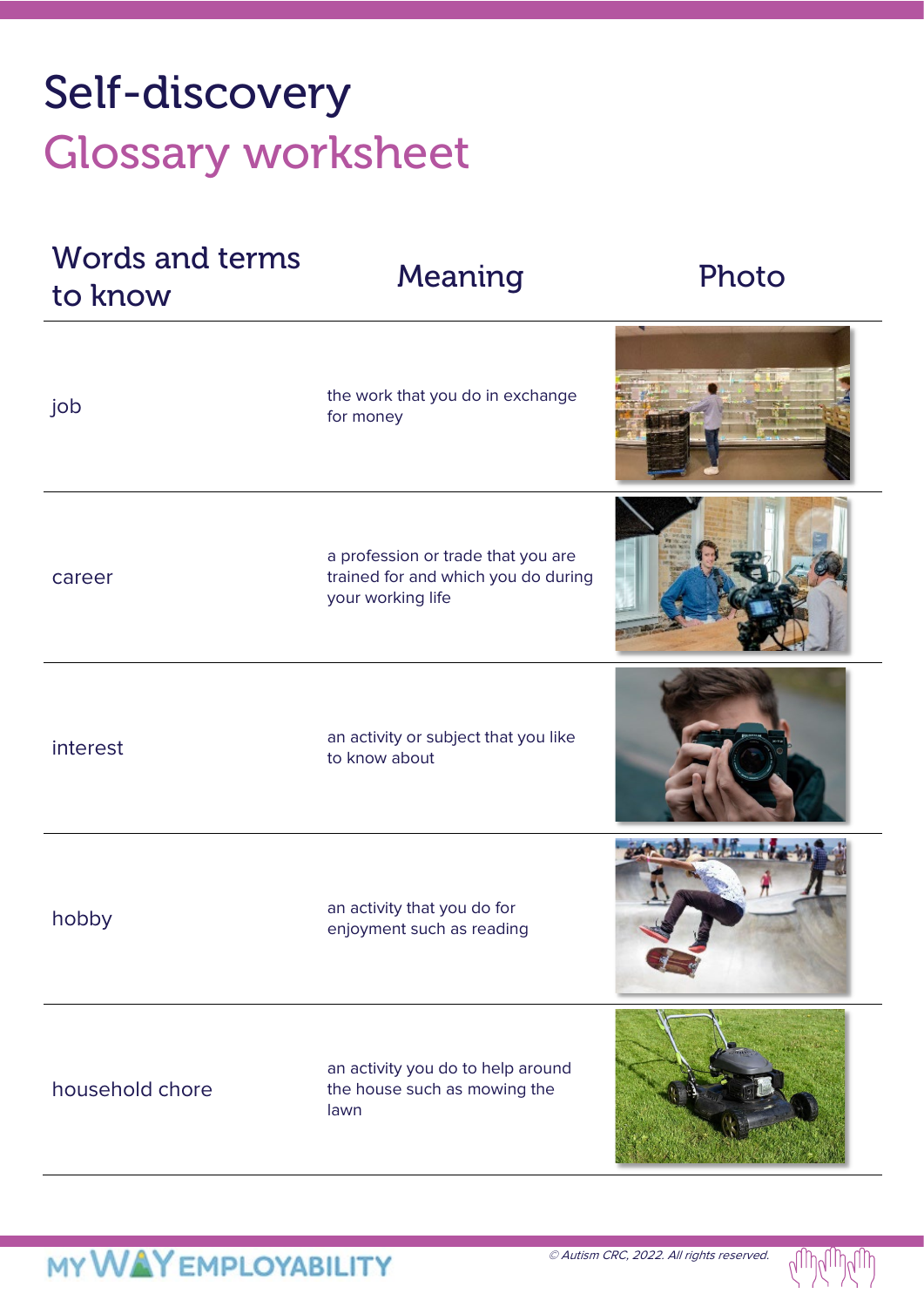# Self-discovery Glossary worksheet

| <b>Words and terms</b><br>to know | Meaning                                                                                        | Photo |
|-----------------------------------|------------------------------------------------------------------------------------------------|-------|
| job                               | the work that you do in exchange<br>for money                                                  |       |
| career                            | a profession or trade that you are<br>trained for and which you do during<br>your working life |       |
| interest                          | an activity or subject that you like<br>to know about                                          |       |
| hobby                             | an activity that you do for<br>enjoyment such as reading                                       |       |
| household chore                   | an activity you do to help around<br>the house such as mowing the<br>lawn                      |       |

 $U_{\text{III}}$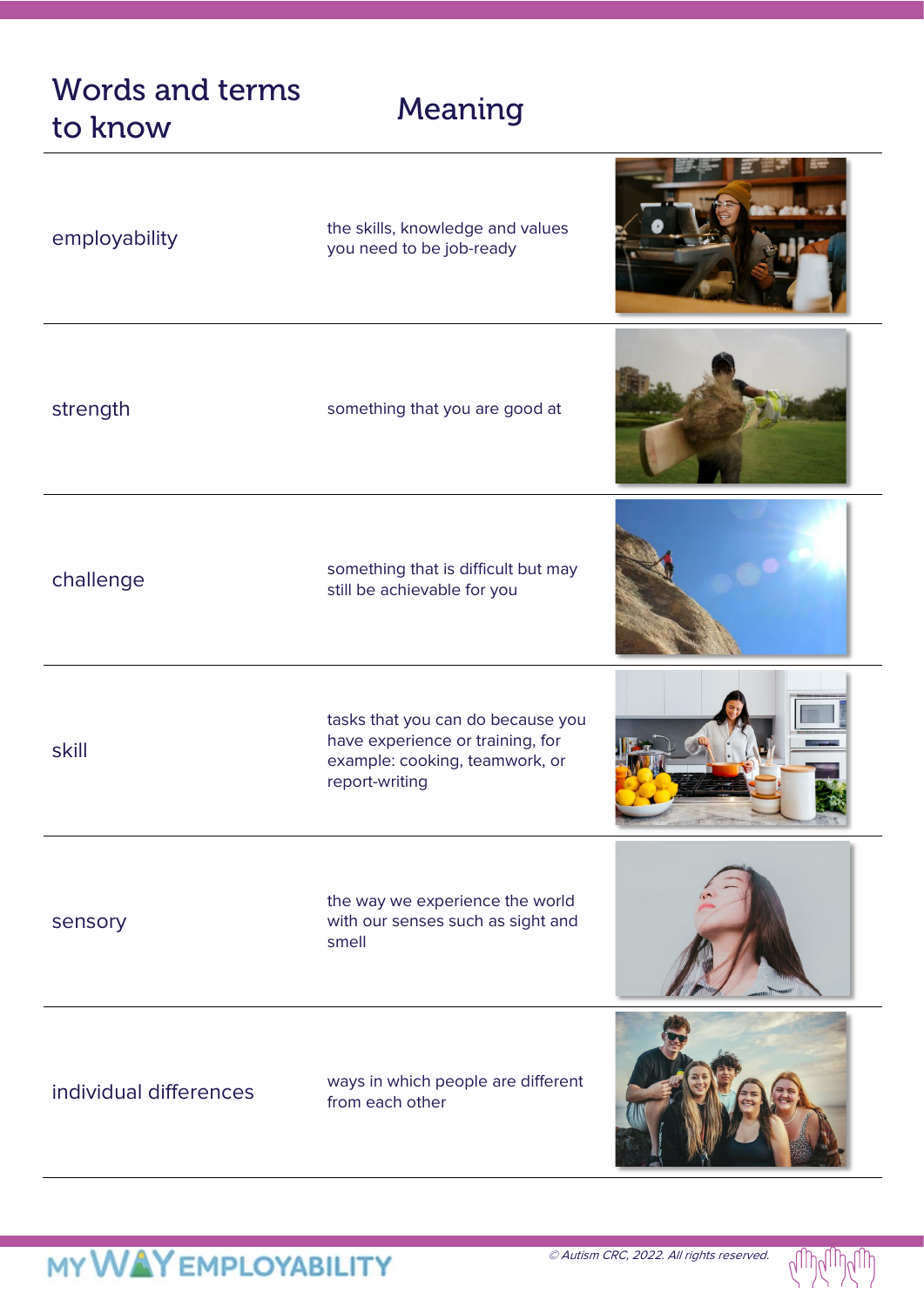### Words and terms words and terms Meaning<br>to know

| employability          | the skills, knowledge and values<br>you need to be job-ready                                                              |  |
|------------------------|---------------------------------------------------------------------------------------------------------------------------|--|
| strength               | something that you are good at                                                                                            |  |
| challenge              | something that is difficult but may<br>still be achievable for you                                                        |  |
| skill                  | tasks that you can do because you<br>have experience or training, for<br>example: cooking, teamwork, or<br>report-writing |  |
| sensory                | the way we experience the world<br>with our senses such as sight and<br>smell                                             |  |
| individual differences | ways in which people are different<br>from each other                                                                     |  |

ΝI

**MARKET CONTROLLER**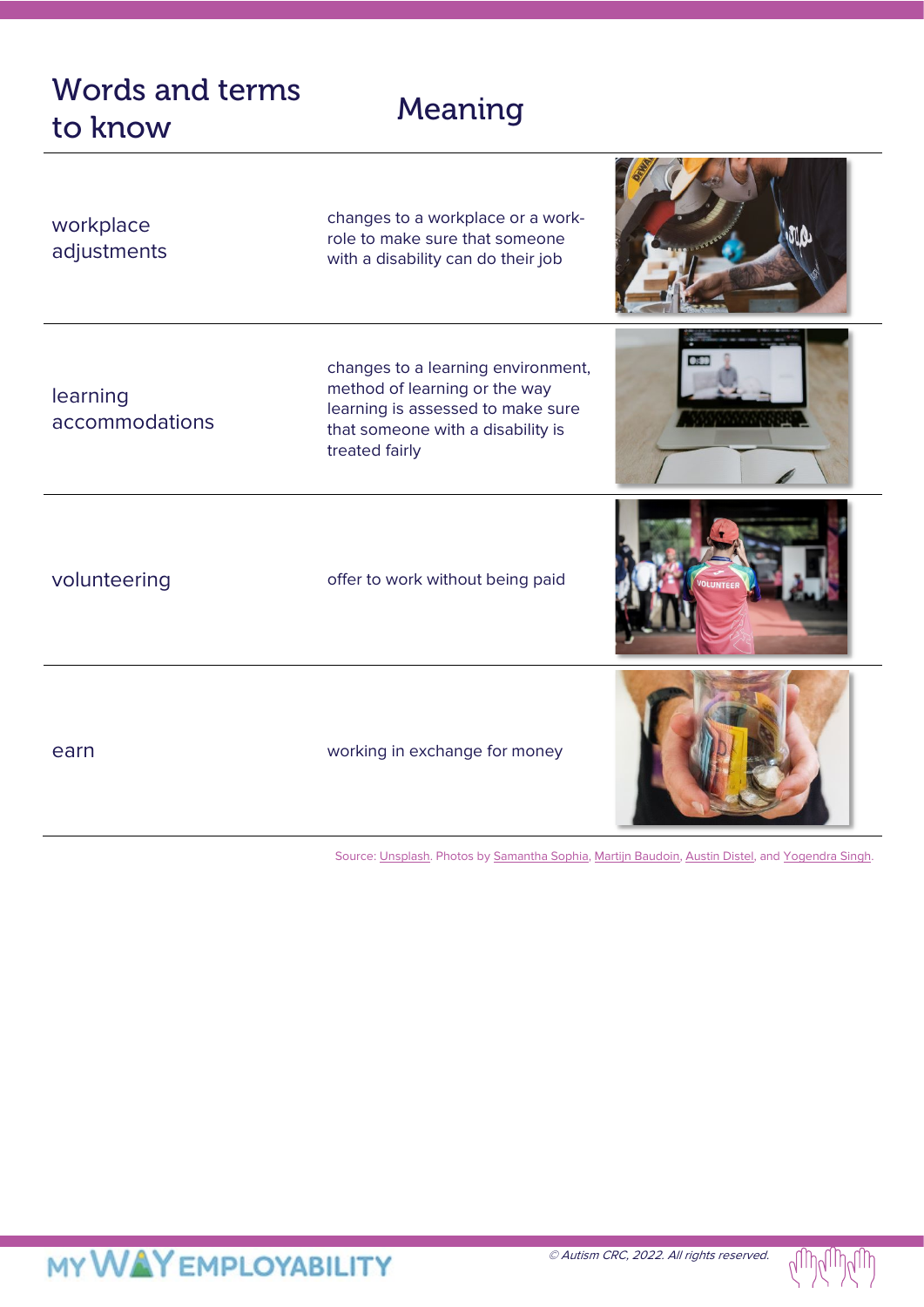### Words and terms words and terms Meaning<br>to know

| workplace<br>adjustments   | changes to a workplace or a work-<br>role to make sure that someone<br>with a disability can do their job                                                       |  |
|----------------------------|-----------------------------------------------------------------------------------------------------------------------------------------------------------------|--|
| learning<br>accommodations | changes to a learning environment,<br>method of learning or the way<br>learning is assessed to make sure<br>that someone with a disability is<br>treated fairly |  |
| volunteering               | offer to work without being paid                                                                                                                                |  |
| earn                       | working in exchange for money                                                                                                                                   |  |

Source: [Unsplash.](https://unsplash.com/s/photos/challenge?utm_source=unsplash&utm_medium=referral&utm_content=creditCopyText) Photos b[y Samantha Sophia,](https://unsplash.com/@samanthasophia?utm_source=unsplash&utm_medium=referral&utm_content=creditCopyText) [Martijn Baudoin,](https://unsplash.com/@martijnbaudoin?utm_source=unsplash&utm_medium=referral&utm_content=creditCopyText) [Austin Distel,](https://unsplash.com/@austindistel?utm_source=unsplash&utm_medium=referral&utm_content=creditCopyText) and Yogendra Singh.



## **MY WAY EMPLOYABILITY**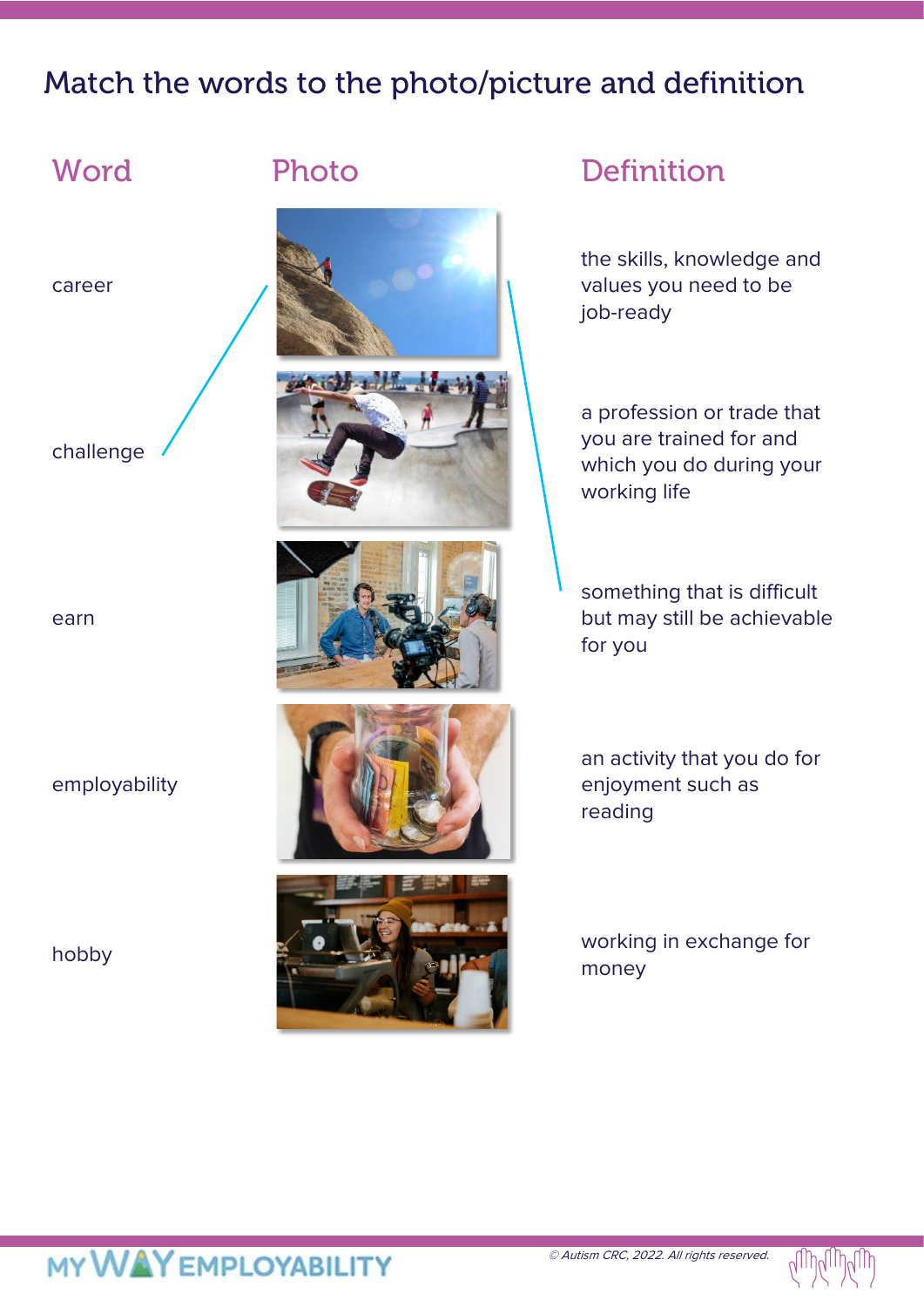### Match the words to the photo/picture and definition



career

challenge

earn

employability





the skills, knowledge and values you need to be job-ready

a profession or trade that you are trained for and which you do during your working life

something that is difficult but may still be achievable for you

an activity that you do for enjoyment such as reading

money





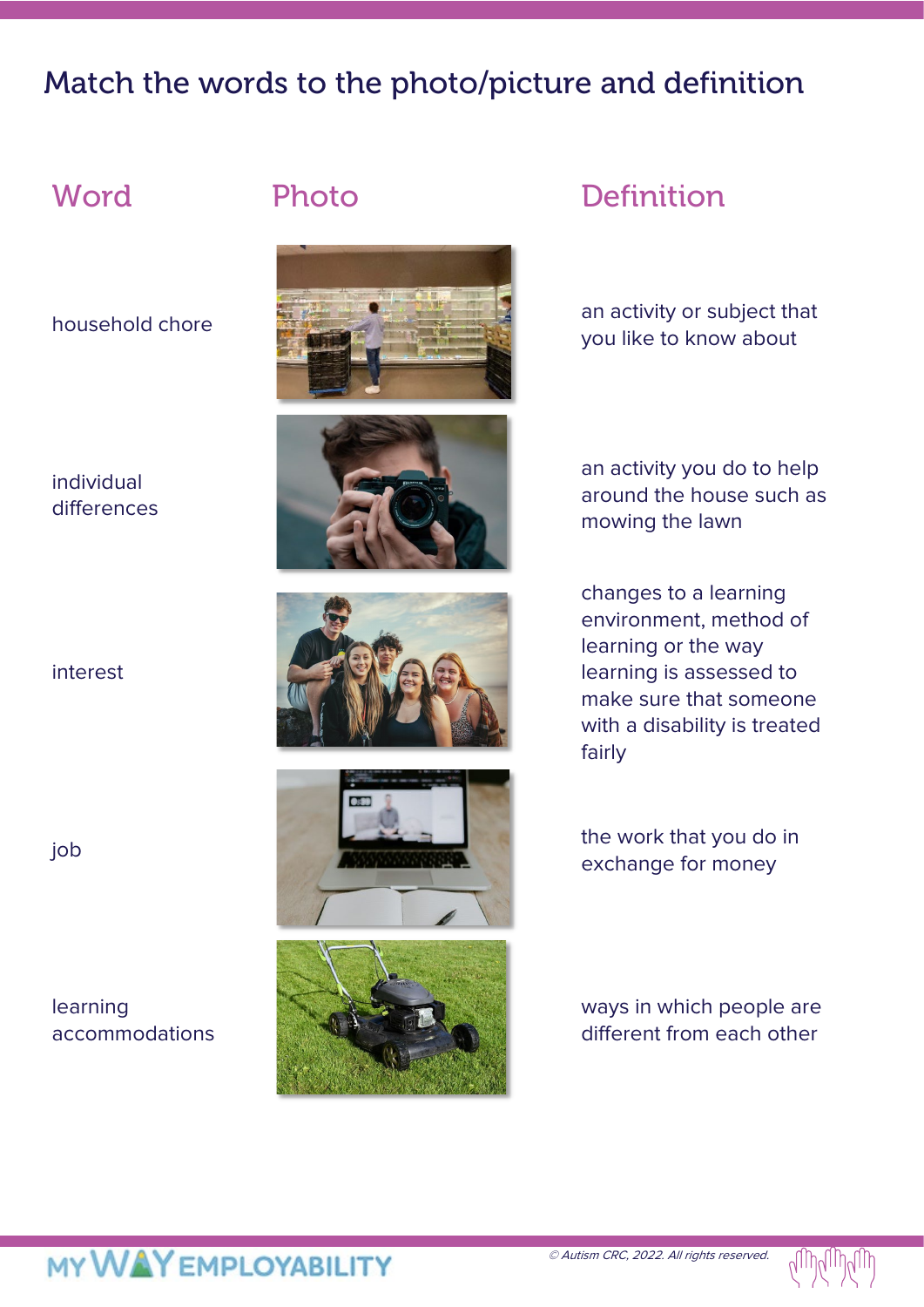### Match the words to the photo/picture and definition

### individual differences

interest

### learning accommodations











### Word Photo Definition

household chore an activity or subject that you like to know about

> an activity you do to help around the house such as mowing the lawn

changes to a learning environment, method of learning or the way learning is assessed to make sure that someone with a disability is treated fairly

exchange for money

ways in which people are different from each other

## MY WAY EMPLOYABILITY